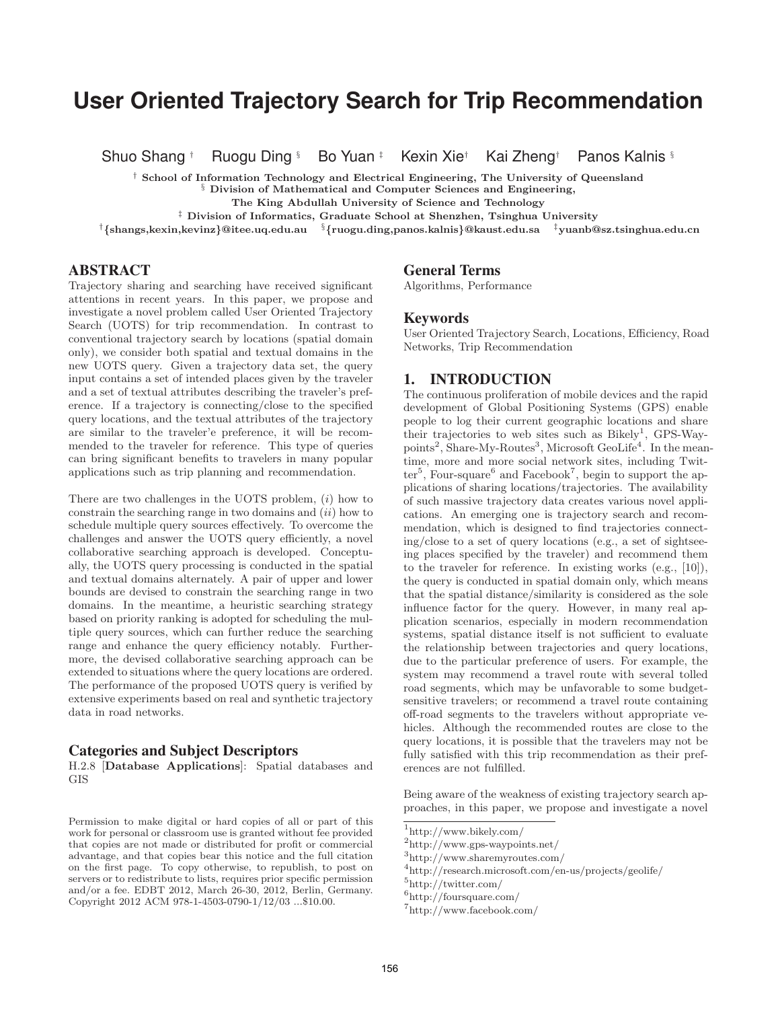# **User Oriented Trajectory Search for Trip Recommendation**

Shuo Shang ⊺ Huogu Ding <sup>§</sup> Bo Yuan <sup>‡</sup> Kexin Xie<sup>†</sup> Kai Zheng⊺ Panos Kalnis §<br><sup>†</sup> School of Information Technology and Electrical Engineering, The University of Queensland

§ **Division of Mathematical and Computer Sciences and Engineering,**

**The King Abdullah University of Science and Technology**

‡ **Division of Informatics, Graduate School at Shenzhen, Tsinghua University**

†*{***shangs,kexin,kevinz***}***@itee.uq.edu.au** §*{***ruogu.ding,panos.kalnis***}***@kaust.edu.sa** ‡**yuanb@sz.tsinghua.edu.cn**

### ABSTRACT

Trajectory sharing and searching have received significant attentions in recent years. In this paper, we propose and investigate a novel problem called User Oriented Trajectory Search (UOTS) for trip recommendation. In contrast to conventional trajectory search by locations (spatial domain only), we consider both spatial and textual domains in the new UOTS query. Given a trajectory data set, the query input contains a set of intended places given by the traveler and a set of textual attributes describing the traveler's preference. If a trajectory is connecting/close to the specified query locations, and the textual attributes of the trajectory are similar to the traveler'e preference, it will be recommended to the traveler for reference. This type of queries can bring significant benefits to travelers in many popular applications such as trip planning and recommendation.

There are two challenges in the UOTS problem,  $(i)$  how to constrain the searching range in two domains and  $(ii)$  how to schedule multiple query sources effectively. To overcome the challenges and answer the UOTS query efficiently, a novel collaborative searching approach is developed. Conceptually, the UOTS query processing is conducted in the spatial and textual domains alternately. A pair of upper and lower bounds are devised to constrain the searching range in two domains. In the meantime, a heuristic searching strategy based on priority ranking is adopted for scheduling the multiple query sources, which can further reduce the searching range and enhance the query efficiency notably. Furthermore, the devised collaborative searching approach can be extended to situations where the query locations are ordered. The performance of the proposed UOTS query is verified by extensive experiments based on real and synthetic trajectory data in road networks.

#### Categories and Subject Descriptors

H.2.8 [**Database Applications**]: Spatial databases and GIS

Permission to make digital or hard copies of all or part of this work for personal or classroom use is granted without fee provided that copies are not made or distributed for profit or commercial advantage, and that copies bear this notice and the full citation on the first page. To copy otherwise, to republish, to post on servers or to redistribute to lists, requires prior specific permission and/or a fee. EDBT 2012, March 26-30, 2012, Berlin, Germany. Copyright 2012 ACM 978-1-4503-0790-1/12/03 ...\$10.00.

# General Terms

Algorithms, Performance

#### **Keywords**

User Oriented Trajectory Search, Locations, Efficiency, Road Networks, Trip Recommendation

### 1. INTRODUCTION

The continuous proliferation of mobile devices and the rapid development of Global Positioning Systems (GPS) enable people to log their current geographic locations and share their trajectories to web sites such as  $Bikely<sup>1</sup>$ , GPS-Waypoints<sup>2</sup>, Share-My-Routes<sup>3</sup>, Microsoft GeoLife<sup>4</sup>. In the meantime, more and more social network sites, including Twit $ter<sup>5</sup>$ , Four-square<sup>6</sup> and Facebook<sup>7</sup>, begin to support the applications of sharing locations/trajectories. The availability of such massive trajectory data creates various novel applications. An emerging one is trajectory search and recommendation, which is designed to find trajectories connecting/close to a set of query locations (e.g., a set of sightseeing places specified by the traveler) and recommend them to the traveler for reference. In existing works (e.g., [10]), the query is conducted in spatial domain only, which means that the spatial distance/similarity is considered as the sole influence factor for the query. However, in many real application scenarios, especially in modern recommendation systems, spatial distance itself is not sufficient to evaluate the relationship between trajectories and query locations, due to the particular preference of users. For example, the system may recommend a travel route with several tolled road segments, which may be unfavorable to some budgetsensitive travelers; or recommend a travel route containing off-road segments to the travelers without appropriate vehicles. Although the recommended routes are close to the query locations, it is possible that the travelers may not be fully satisfied with this trip recommendation as their preferences are not fulfilled.

Being aware of the weakness of existing trajectory search approaches, in this paper, we propose and investigate a novel

 $1$ http://www.bikely.com/

<sup>2</sup>http://www.gps-waypoints.net/

<sup>3</sup>http://www.sharemyroutes.com/

<sup>4</sup>http://research.microsoft.com/en-us/projects/geolife/

 $5$ http://twitter.com/

 $^6$ http://foursquare.com/

 $7$ http://www.facebook.com/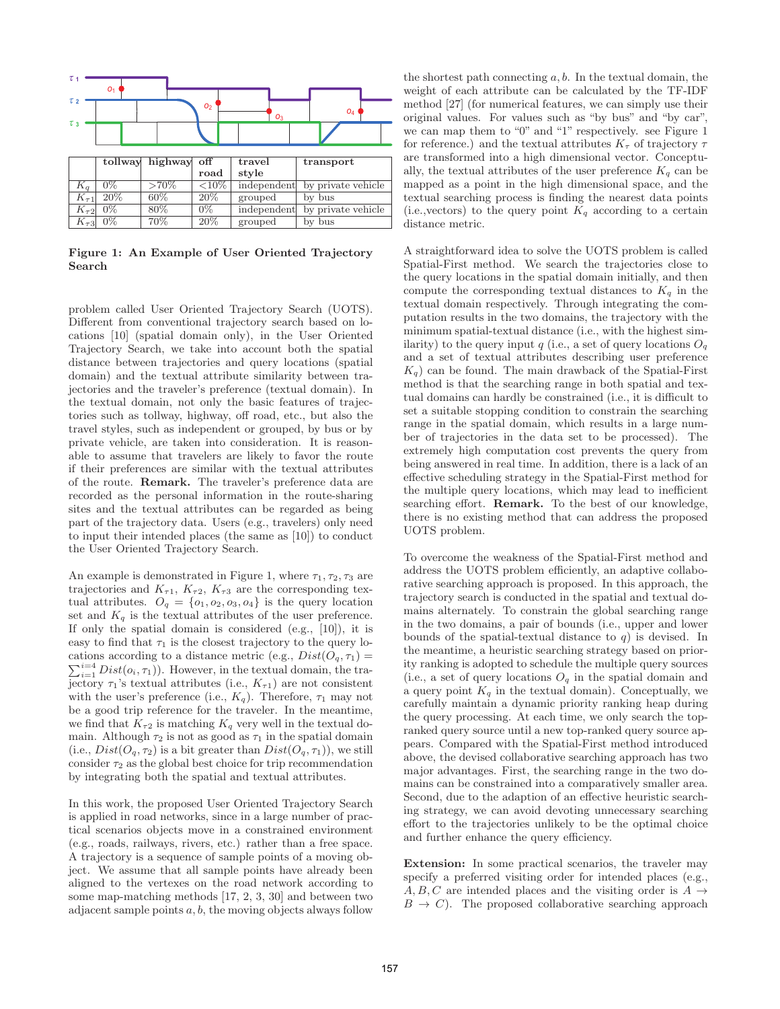

**Figure 1: An Example of User Oriented Trajectory Search**

problem called User Oriented Trajectory Search (UOTS). Different from conventional trajectory search based on locations [10] (spatial domain only), in the User Oriented Trajectory Search, we take into account both the spatial distance between trajectories and query locations (spatial domain) and the textual attribute similarity between trajectories and the traveler's preference (textual domain). In the textual domain, not only the basic features of trajectories such as tollway, highway, off road, etc., but also the travel styles, such as independent or grouped, by bus or by private vehicle, are taken into consideration. It is reasonable to assume that travelers are likely to favor the route if their preferences are similar with the textual attributes of the route. **Remark.** The traveler's preference data are recorded as the personal information in the route-sharing sites and the textual attributes can be regarded as being part of the trajectory data. Users (e.g., travelers) only need to input their intended places (the same as [10]) to conduct the User Oriented Trajectory Search.

An example is demonstrated in Figure 1, where  $\tau_1, \tau_2, \tau_3$  are trajectories and  $K_{\tau 1}$ ,  $K_{\tau 2}$ ,  $K_{\tau 3}$  are the corresponding textual attributes.  $O_q = \{o_1, o_2, o_3, o_4\}$  is the query location set and  $K_q$  is the textual attributes of the user preference. If only the spatial domain is considered (e.g., [10]), it is easy to find that  $\tau_1$  is the closest trajectory to the query locations according to a distance metric (e.g.,  $Dist(O_q, \tau_1) =$ <br> $\sum_{i=4}^{i=4} Dist(o_i, \tau_i)$ ). However, in the textual density the tra  $\sum_{i=1}^{i=4} Dist(o_i, \tau_1)$ . However, in the textual domain, the trajectory  $\tau_1$ 's textual attributes (i.e.,  $K_{\tau_1}$ ) are not consistent with the user's preference (i.e.,  $K_q$ ). Therefore,  $\tau_1$  may not be a good trip reference for the traveler. In the meantime, we find that  $K_{\tau 2}$  is matching  $K_q$  very well in the textual domain. Although  $\tau_2$  is not as good as  $\tau_1$  in the spatial domain (i.e.,  $Dist(O_q, \tau_2)$  is a bit greater than  $Dist(O_q, \tau_1)$ ), we still consider  $\tau_2$  as the global best choice for trip recommendation by integrating both the spatial and textual attributes.

In this work, the proposed User Oriented Trajectory Search is applied in road networks, since in a large number of practical scenarios objects move in a constrained environment (e.g., roads, railways, rivers, etc.) rather than a free space. A trajectory is a sequence of sample points of a moving object. We assume that all sample points have already been aligned to the vertexes on the road network according to some map-matching methods [17, 2, 3, 30] and between two adjacent sample points  $a, b$ , the moving objects always follow

the shortest path connecting  $a, b$ . In the textual domain, the weight of each attribute can be calculated by the TF-IDF method [27] (for numerical features, we can simply use their original values. For values such as "by bus" and "by car", we can map them to "0" and "1" respectively. see Figure 1 for reference.) and the textual attributes  $K_{\tau}$  of trajectory  $\tau$ are transformed into a high dimensional vector. Conceptually, the textual attributes of the user preference  $K_q$  can be mapped as a point in the high dimensional space, and the textual searching process is finding the nearest data points (i.e., vectors) to the query point  $K_q$  according to a certain distance metric.

A straightforward idea to solve the UOTS problem is called Spatial-First method. We search the trajectories close to the query locations in the spatial domain initially, and then compute the corresponding textual distances to  $K_q$  in the textual domain respectively. Through integrating the computation results in the two domains, the trajectory with the minimum spatial-textual distance (i.e., with the highest similarity) to the query input q (i.e., a set of query locations  $O_q$ and a set of textual attributes describing user preference  $K_q$ ) can be found. The main drawback of the Spatial-First method is that the searching range in both spatial and textual domains can hardly be constrained (i.e., it is difficult to set a suitable stopping condition to constrain the searching range in the spatial domain, which results in a large number of trajectories in the data set to be processed). The extremely high computation cost prevents the query from being answered in real time. In addition, there is a lack of an effective scheduling strategy in the Spatial-First method for the multiple query locations, which may lead to inefficient searching effort. **Remark.** To the best of our knowledge, there is no existing method that can address the proposed UOTS problem.

To overcome the weakness of the Spatial-First method and address the UOTS problem efficiently, an adaptive collaborative searching approach is proposed. In this approach, the trajectory search is conducted in the spatial and textual domains alternately. To constrain the global searching range in the two domains, a pair of bounds (i.e., upper and lower bounds of the spatial-textual distance to  $q$ ) is devised. In the meantime, a heuristic searching strategy based on priority ranking is adopted to schedule the multiple query sources (i.e., a set of query locations  $O_q$  in the spatial domain and a query point  $K_q$  in the textual domain). Conceptually, we carefully maintain a dynamic priority ranking heap during the query processing. At each time, we only search the topranked query source until a new top-ranked query source appears. Compared with the Spatial-First method introduced above, the devised collaborative searching approach has two major advantages. First, the searching range in the two domains can be constrained into a comparatively smaller area. Second, due to the adaption of an effective heuristic searching strategy, we can avoid devoting unnecessary searching effort to the trajectories unlikely to be the optimal choice and further enhance the query efficiency.

**Extension:** In some practical scenarios, the traveler may specify a preferred visiting order for intended places (e.g.,  $A, B, C$  are intended places and the visiting order is  $A \rightarrow$  $B \to C$ ). The proposed collaborative searching approach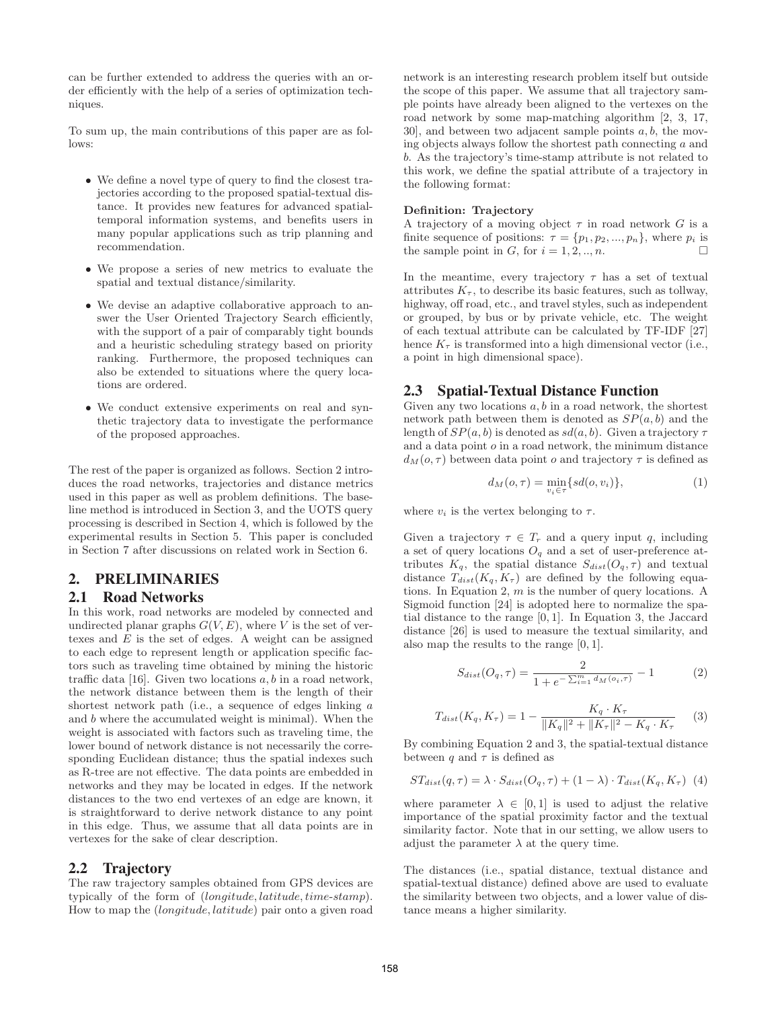can be further extended to address the queries with an order efficiently with the help of a series of optimization techniques.

To sum up, the main contributions of this paper are as follows:

- We define a novel type of query to find the closest trajectories according to the proposed spatial-textual distance. It provides new features for advanced spatialtemporal information systems, and benefits users in many popular applications such as trip planning and recommendation.
- We propose a series of new metrics to evaluate the spatial and textual distance/similarity.
- We devise an adaptive collaborative approach to answer the User Oriented Trajectory Search efficiently, with the support of a pair of comparably tight bounds and a heuristic scheduling strategy based on priority ranking. Furthermore, the proposed techniques can also be extended to situations where the query locations are ordered.
- We conduct extensive experiments on real and synthetic trajectory data to investigate the performance of the proposed approaches.

The rest of the paper is organized as follows. Section 2 introduces the road networks, trajectories and distance metrics used in this paper as well as problem definitions. The baseline method is introduced in Section 3, and the UOTS query processing is described in Section 4, which is followed by the experimental results in Section 5. This paper is concluded in Section 7 after discussions on related work in Section 6.

# 2. PRELIMINARIES

# 2.1 Road Networks

In this work, road networks are modeled by connected and undirected planar graphs  $G(V, E)$ , where V is the set of vertexes and  $E$  is the set of edges. A weight can be assigned to each edge to represent length or application specific factors such as traveling time obtained by mining the historic traffic data [16]. Given two locations  $a, b$  in a road network, the network distance between them is the length of their shortest network path (i.e., a sequence of edges linking a and b where the accumulated weight is minimal). When the weight is associated with factors such as traveling time, the lower bound of network distance is not necessarily the corresponding Euclidean distance; thus the spatial indexes such as R-tree are not effective. The data points are embedded in networks and they may be located in edges. If the network distances to the two end vertexes of an edge are known, it is straightforward to derive network distance to any point in this edge. Thus, we assume that all data points are in vertexes for the sake of clear description.

#### 2.2 Trajectory

The raw trajectory samples obtained from GPS devices are typically of the form of (longitude, latitude, time-stamp). How to map the (longitude, latitude) pair onto a given road

network is an interesting research problem itself but outside the scope of this paper. We assume that all trajectory sample points have already been aligned to the vertexes on the road network by some map-matching algorithm [2, 3, 17, 30, and between two adjacent sample points  $a, b$ , the moving objects always follow the shortest path connecting a and b. As the trajectory's time-stamp attribute is not related to this work, we define the spatial attribute of a trajectory in the following format:

#### **Definition: Trajectory**

A trajectory of a moving object  $\tau$  in road network G is a finite sequence of positions:  $\tau = \{p_1, p_2, ..., p_n\}$ , where  $p_i$  is the sample point in  $G$  for  $i - 1, 2, ..., n$ the sample point in G, for  $i = 1, 2, ..., n$ .

In the meantime, every trajectory  $\tau$  has a set of textual attributes  $K_{\tau}$ , to describe its basic features, such as tollway, highway, off road, etc., and travel styles, such as independent or grouped, by bus or by private vehicle, etc. The weight of each textual attribute can be calculated by TF-IDF [27] hence  $K_{\tau}$  is transformed into a high dimensional vector (i.e., a point in high dimensional space).

# 2.3 Spatial-Textual Distance Function

Given any two locations a, b in a road network, the shortest network path between them is denoted as  $SP(a, b)$  and the length of  $SP(a, b)$  is denoted as  $sd(a, b)$ . Given a trajectory  $\tau$ and a data point o in a road network, the minimum distance  $d_M(o, \tau)$  between data point o and trajectory  $\tau$  is defined as

$$
d_M(o, \tau) = \min_{v_i \in \tau} \{ sd(o, v_i) \},\tag{1}
$$

where  $v_i$  is the vertex belonging to  $\tau$ .

Given a trajectory  $\tau \in T_r$  and a query input q, including a set of query locations  $O_q$  and a set of user-preference attributes  $K_q$ , the spatial distance  $S_{dist}(O_q, \tau)$  and textual distance  $T_{dist}(K_q, K_\tau)$  are defined by the following equations. In Equation 2,  $m$  is the number of query locations. A Sigmoid function [24] is adopted here to normalize the spatial distance to the range [0, 1]. In Equation 3, the Jaccard distance [26] is used to measure the textual similarity, and also map the results to the range [0, 1].

$$
S_{dist}(O_q, \tau) = \frac{2}{1 + e^{-\sum_{i=1}^{m} d_M(o_i, \tau)}} - 1 \tag{2}
$$

$$
T_{dist}(K_q, K_\tau) = 1 - \frac{K_q \cdot K_\tau}{\|K_q\|^2 + \|K_\tau\|^2 - K_q \cdot K_\tau} \tag{3}
$$

By combining Equation 2 and 3, the spatial-textual distance between  $q$  and  $\tau$  is defined as

$$
ST_{dist}(q,\tau) = \lambda \cdot S_{dist}(O_q,\tau) + (1-\lambda) \cdot T_{dist}(K_q, K_\tau)
$$
 (4)

where parameter  $\lambda \in [0, 1]$  is used to adjust the relative importance of the spatial proximity factor and the textual similarity factor. Note that in our setting, we allow users to adjust the parameter  $\lambda$  at the query time.

The distances (i.e., spatial distance, textual distance and spatial-textual distance) defined above are used to evaluate the similarity between two objects, and a lower value of distance means a higher similarity.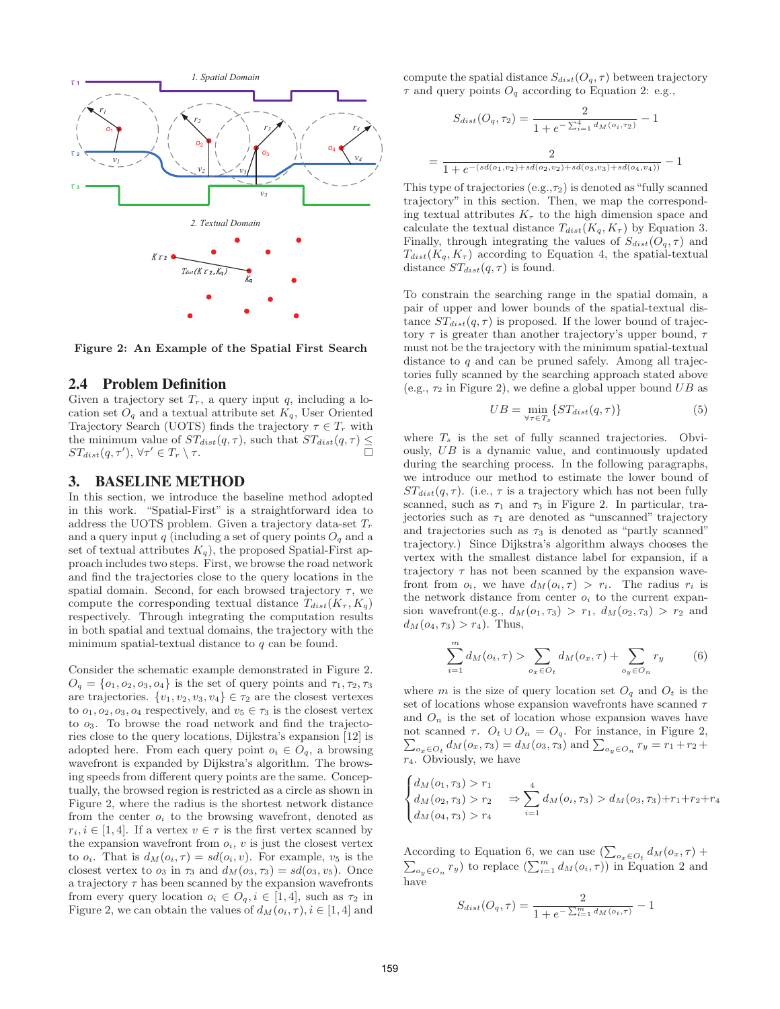

**Figure 2: An Example of the Spatial First Search**

#### 2.4 Problem Definition

Given a trajectory set  $T_r$ , a query input q, including a location set  $O_q$  and a textual attribute set  $K_q$ , User Oriented Trajectory Search (UOTS) finds the trajectory  $\tau \in T_r$  with the minimum value of  $ST_{dist}(q, \tau)$ , such that  $ST_{dist}(q, \tau) \leq ST_{U-}(q, \tau')$  $ST_{dist}(q, \tau'), \forall \tau' \in T_r \setminus \tau.$ 

#### 3. BASELINE METHOD

In this section, we introduce the baseline method adopted in this work. "Spatial-First" is a straightforward idea to address the UOTS problem. Given a trajectory data-set  $T_r$ and a query input q (including a set of query points  $O<sub>q</sub>$  and a set of textual attributes  $K_q$ , the proposed Spatial-First approach includes two steps. First, we browse the road network and find the trajectories close to the query locations in the spatial domain. Second, for each browsed trajectory  $\tau$ , we compute the corresponding textual distance  $T_{dist}(K_\tau, K_q)$ respectively. Through integrating the computation results in both spatial and textual domains, the trajectory with the minimum spatial-textual distance to  $q$  can be found.

Consider the schematic example demonstrated in Figure 2.  $O_q = \{o_1, o_2, o_3, o_4\}$  is the set of query points and  $\tau_1, \tau_2, \tau_3$ are trajectories.  $\{v_1, v_2, v_3, v_4\} \in \tau_2$  are the closest vertexes to  $o_1, o_2, o_3, o_4$  respectively, and  $v_5 \in \tau_3$  is the closest vertex to  $o_3$ . To browse the road network and find the trajectories close to the query locations, Dijkstra's expansion [12] is adopted here. From each query point  $o_i \in O_q$ , a browsing wavefront is expanded by Dijkstra's algorithm. The browsing speeds from different query points are the same. Conceptually, the browsed region is restricted as a circle as shown in Figure 2, where the radius is the shortest network distance from the center  $o_i$  to the browsing wavefront, denoted as  $r_i, i \in [1, 4]$ . If a vertex  $v \in \tau$  is the first vertex scanned by the expansion wavefront from  $o_i$ , v is just the closest vertex to  $o_i$ . That is  $d_M(o_i, \tau) = sd(o_i, v)$ . For example,  $v_5$  is the closest vertex to  $o_3$  in  $\tau_3$  and  $d_M(o_3, \tau_3) = sd(o_3, v_5)$ . Once a trajectory  $\tau$  has been scanned by the expansion wavefronts from every query location  $o_i \in O_q, i \in [1, 4]$ , such as  $\tau_2$  in Figure 2, we can obtain the values of  $d_M(o_i, \tau)$ ,  $i \in [1, 4]$  and

compute the spatial distance  $S_{dist}(O_q, \tau)$  between trajectory  $\tau$  and query points  $O_q$  according to Equation 2: e.g.,

$$
S_{dist}(O_q, \tau_2) = \frac{2}{1 + e^{-\sum_{i=1}^4 d_M(o_i, \tau_2)}} - 1
$$

$$
= \frac{2}{1 + e^{-\left(sd(o_1, v_2) + sd(o_2, v_2) + sd(o_3, v_3) + sd(o_4, v_4)\right)}} - 1
$$

This type of trajectories  $(e.g.,\tau_2)$  is denoted as "fully scanned" trajectory" in this section. Then, we map the corresponding textual attributes  $K_{\tau}$  to the high dimension space and calculate the textual distance  $T_{dist}(K_q, K_\tau)$  by Equation 3. Finally, through integrating the values of  $S_{dist}(O_q, \tau)$  and  $T_{dist}(K_q, K_\tau)$  according to Equation 4, the spatial-textual distance  $ST_{dist}(q, \tau)$  is found.

To constrain the searching range in the spatial domain, a pair of upper and lower bounds of the spatial-textual distance  $ST_{dist}(q, \tau)$  is proposed. If the lower bound of trajectory  $\tau$  is greater than another trajectory's upper bound,  $\tau$ must not be the trajectory with the minimum spatial-textual distance to q and can be pruned safely. Among all trajectories fully scanned by the searching approach stated above (e.g.,  $\tau_2$  in Figure 2), we define a global upper bound UB as

$$
UB = \min_{\forall \tau \in T_s} \{ST_{dist}(q, \tau)\}
$$
\n<sup>(5)</sup>

where  $T_s$  is the set of fully scanned trajectories. Obviously, UB is a dynamic value, and continuously updated during the searching process. In the following paragraphs, we introduce our method to estimate the lower bound of  $ST_{dist}(q, \tau)$ . (i.e.,  $\tau$  is a trajectory which has not been fully scanned, such as  $\tau_1$  and  $\tau_3$  in Figure 2. In particular, trajectories such as  $\tau_1$  are denoted as "unscanned" trajectory and trajectories such as  $\tau_3$  is denoted as "partly scanned" trajectory.) Since Dijkstra's algorithm always chooses the vertex with the smallest distance label for expansion, if a trajectory  $\tau$  has not been scanned by the expansion wavefront from  $o_i$ , we have  $d_M(o_i, \tau) > r_i$ . The radius  $r_i$  is the network distance from center  $o_i$  to the current expansion wavefront(e.g.,  $d_M(o_1, \tau_3) > r_1$ ,  $d_M(o_2, \tau_3) > r_2$  and  $d_M(o_4, \tau_3) > r_4$ ). Thus,

$$
\sum_{i=1}^{m} d_{M}(o_{i}, \tau) > \sum_{o_{x} \in O_{t}} d_{M}(o_{x}, \tau) + \sum_{o_{y} \in O_{n}} r_{y}
$$
(6)

where m is the size of query location set  $O_q$  and  $O_t$  is the set of locations whose expansion wavefronts have scanned  $\tau$ and  $O_n$  is the set of location whose expansion waves have not scanned  $\tau$ .  $O_t \cup O_n = O_q$ . For instance, in Figure 2,  $\sum_{o_x \in O_t} d_M(o_x, \tau_3) = d_M(o_3, \tau_3)$  and  $\sum_{o_y \in O_n} r_y = r_1 + r_2 +$  $r_4$ . Obviously, we have

$$
\begin{cases}\nd_M(o_1, \tau_3) > r_1 \\
d_M(o_2, \tau_3) > r_2 \\
d_M(o_4, \tau_3) > r_4\n\end{cases} \Rightarrow \sum_{i=1}^4 d_M(o_i, \tau_3) > d_M(o_3, \tau_3) + r_1 + r_2 + r_4
$$

According to Equation 6, we can use  $(\sum)$ According to Equation 6, we can use  $(\sum_{o_x \in O_t} d_M(o_x, \tau) + \sum_{o_y \in O_n} r_y)$  to replace  $(\sum_{i=1}^m d_M(o_i, \tau))$  in Equation 2 and According to Equation 6, we can use  $\left(\sum_{o_x \in O_t} d_M(o_x, \tau) + \right)$ have

$$
S_{dist}(O_q, \tau) = \frac{2}{1 + e^{-\sum_{i=1}^{m} d_M(o_i, \tau)}} - 1
$$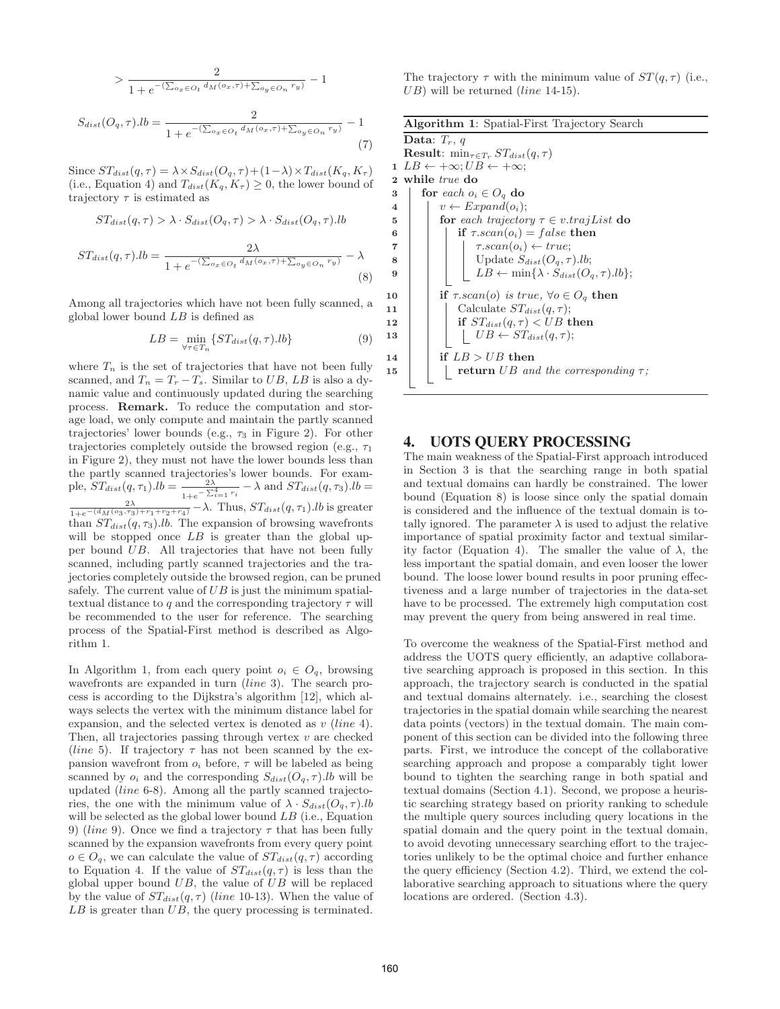$$
> \frac{2}{1 + e^{-(\sum_{o_x \in O_t} d_M(o_x, \tau) + \sum_{o_y \in O_n} r_y)}} - 1
$$

$$
S_{dist}(O_q, \tau).lb = \frac{2}{1 + e^{-(\sum_{o_x \in O_t} d_M(o_x, \tau) + \sum_{o_y \in O_n} r_y)}} - 1
$$
\n(7)

Since  $ST_{dist}(q, \tau) = \lambda \times S_{dist}(O_q, \tau) + (1-\lambda) \times T_{dist}(K_q, K_\tau)$ (i.e., Equation 4) and  $T_{dist}(K_q, K_\tau) \geq 0$ , the lower bound of trajectory  $\tau$  is estimated as

$$
ST_{dist}(q,\tau) > \lambda \cdot S_{dist}(O_q,\tau) > \lambda \cdot S_{dist}(O_q,\tau).lb
$$

$$
ST_{dist}(q,\tau).lb = \frac{2\lambda}{1 + e^{-(\sum_{o_x \in O_t} d_M(o_x,\tau) + \sum_{o_y \in O_n} r_y)}} - \lambda
$$
\n(8)

Among all trajectories which have not been fully scanned, a global lower bound  $LB$  is defined as

$$
LB = \min_{\forall \tau \in T_n} \{ST_{dist}(q, \tau).lb\}
$$
\n(9)

where  $T_n$  is the set of trajectories that have not been fully scanned, and  $T_n = T_r - T_s$ . Similar to UB, LB is also a dynamic value and continuously updated during the searching process. **Remark.** To reduce the computation and storage load, we only compute and maintain the partly scanned trajectories' lower bounds (e.g.,  $\tau_3$  in Figure 2). For other trajectories completely outside the browsed region (e.g.,  $\tau_1$ ) in Figure 2), they must not have the lower bounds less than the partly scanned trajectories's lower bounds. For example,  $ST_{dist}(q, \tau_1).lb = \frac{2\lambda}{1+e^{-\sum_{i=1}^{4} \tau_i}} - \lambda$  and  $ST_{dist}(q, \tau_3).lb = \frac{2\lambda}{1+e^{-(d_M(o_3, \tau_3)+\tau_1+\tau_2+\tau_4)}} - \lambda$ . Thus,  $ST_{dist}(q, \tau_1).lb$  is greater than  $ST_{dist}(q, \tau_3)$ .lb. The expansion of browsing wavefronts will be stopped once  $LB$  is greater than the global upper bound UB. All trajectories that have not been fully scanned, including partly scanned trajectories and the trajectories completely outside the browsed region, can be pruned safely. The current value of  $UB$  is just the minimum spatialtextual distance to q and the corresponding trajectory  $\tau$  will be recommended to the user for reference. The searching process of the Spatial-First method is described as Algorithm 1.

In Algorithm 1, from each query point  $o_i \in O_q$ , browsing wavefronts are expanded in turn *(line 3)*. The search process is according to the Dijkstra's algorithm [12], which always selects the vertex with the minimum distance label for expansion, and the selected vertex is denoted as v (line 4). Then, all trajectories passing through vertex  $v$  are checked (*line* 5). If trajectory  $\tau$  has not been scanned by the expansion wavefront from  $o_i$  before,  $\tau$  will be labeled as being scanned by  $o_i$  and the corresponding  $S_{dist}(O_q, \tau)$ .lb will be updated (line 6-8). Among all the partly scanned trajectories, the one with the minimum value of  $\lambda \cdot S_{dist}(O_q, \tau)$ .lb will be selected as the global lower bound  $LB$  (i.e., Equation 9) (*line* 9). Once we find a trajectory  $\tau$  that has been fully scanned by the expansion wavefronts from every query point  $o \in O_q$ , we can calculate the value of  $ST_{dist}(q, \tau)$  according to Equation 4. If the value of  $ST_{dist}(q, \tau)$  is less than the global upper bound  $UB$ , the value of  $UB$  will be replaced by the value of  $ST_{dist}(q, \tau)$  (line 10-13). When the value of LB is greater than UB, the query processing is terminated.

The trajectory  $\tau$  with the minimum value of  $ST(q, \tau)$  (i.e.,  $UB$ ) will be returned *(line* 14-15).

|                         | <b>Algorithm 1:</b> Spatial-First Trajectory Search           |  |  |  |
|-------------------------|---------------------------------------------------------------|--|--|--|
|                         | Data: $T_r$ , q                                               |  |  |  |
|                         | <b>Result:</b> $\min_{\tau \in T_r} ST_{dist}(q, \tau)$       |  |  |  |
| $\mathbf{1}$            | $LB \leftarrow +\infty; UB \leftarrow +\infty;$               |  |  |  |
| $\mathbf{2}$            | while <i>true</i> do                                          |  |  |  |
| 3                       | for each $o_i \in O_q$ do                                     |  |  |  |
| $\overline{\mathbf{4}}$ | $v \leftarrow Expand(o_i);$                                   |  |  |  |
| 5                       | for each trajectory $\tau \in v.trainList$ do                 |  |  |  |
| 6                       | if $\tau$ .scan( $o_i$ ) = false then                         |  |  |  |
| $\overline{7}$          | $\tau \cdot scan(o_i) \leftarrow true;$                       |  |  |  |
| 8                       | Update $S_{dist}(O_a, \tau)$ .lb;                             |  |  |  |
| 9                       | $LB \leftarrow \min\{\lambda \cdot S_{dist}(O_q, \tau).lb\};$ |  |  |  |
| 10                      | if $\tau$ .scan(o) is true, $\forall o \in O_q$ then          |  |  |  |
| 11                      | Calculate $ST_{dist}(q, \tau);$                               |  |  |  |
| 12                      | if $ST_{dist}(q, \tau) < UB$ then                             |  |  |  |
| 13                      | $UB \leftarrow ST_{dist}(q, \tau);$                           |  |  |  |
| 14                      | if $LB > UB$ then                                             |  |  |  |
| 15                      | <b>return</b> UB and the corresponding $\tau$ ;               |  |  |  |

# 4. UOTS QUERY PROCESSING

The main weakness of the Spatial-First approach introduced in Section 3 is that the searching range in both spatial and textual domains can hardly be constrained. The lower bound (Equation 8) is loose since only the spatial domain is considered and the influence of the textual domain is totally ignored. The parameter  $\lambda$  is used to adjust the relative importance of spatial proximity factor and textual similarity factor (Equation 4). The smaller the value of  $\lambda$ , the less important the spatial domain, and even looser the lower bound. The loose lower bound results in poor pruning effectiveness and a large number of trajectories in the data-set have to be processed. The extremely high computation cost may prevent the query from being answered in real time.

To overcome the weakness of the Spatial-First method and address the UOTS query efficiently, an adaptive collaborative searching approach is proposed in this section. In this approach, the trajectory search is conducted in the spatial and textual domains alternately. i.e., searching the closest trajectories in the spatial domain while searching the nearest data points (vectors) in the textual domain. The main component of this section can be divided into the following three parts. First, we introduce the concept of the collaborative searching approach and propose a comparably tight lower bound to tighten the searching range in both spatial and textual domains (Section 4.1). Second, we propose a heuristic searching strategy based on priority ranking to schedule the multiple query sources including query locations in the spatial domain and the query point in the textual domain, to avoid devoting unnecessary searching effort to the trajectories unlikely to be the optimal choice and further enhance the query efficiency (Section 4.2). Third, we extend the collaborative searching approach to situations where the query locations are ordered. (Section 4.3).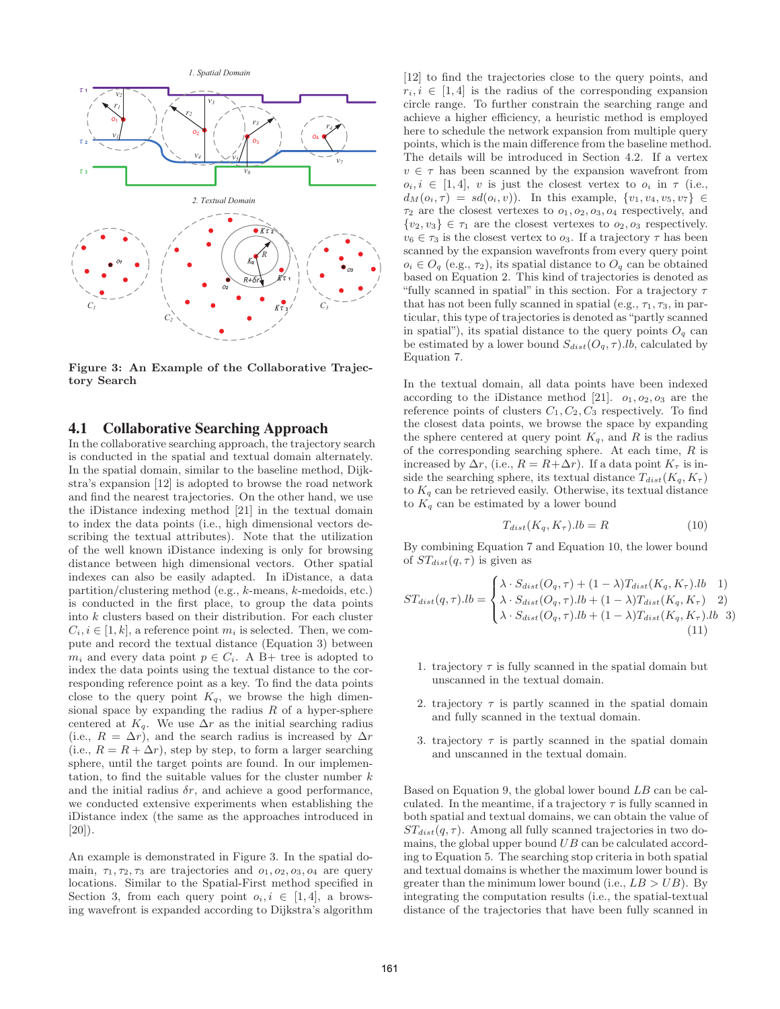

**Figure 3: An Example of the Collaborative Trajectory Search**

#### 4.1 Collaborative Searching Approach

In the collaborative searching approach, the trajectory search is conducted in the spatial and textual domain alternately. In the spatial domain, similar to the baseline method, Dijkstra's expansion [12] is adopted to browse the road network and find the nearest trajectories. On the other hand, we use the iDistance indexing method [21] in the textual domain to index the data points (i.e., high dimensional vectors describing the textual attributes). Note that the utilization of the well known iDistance indexing is only for browsing distance between high dimensional vectors. Other spatial indexes can also be easily adapted. In iDistance, a data partition/clustering method (e.g., k-means, k-medoids, etc.) is conducted in the first place, to group the data points into k clusters based on their distribution. For each cluster  $C_i, i \in [1, k]$ , a reference point  $m_i$  is selected. Then, we compute and record the textual distance (Equation 3) between  $m_i$  and every data point  $p \in C_i$ . A B+ tree is adopted to index the data points using the textual distance to the corresponding reference point as a key. To find the data points close to the query point  $K_q$ , we browse the high dimensional space by expanding the radius  $R$  of a hyper-sphere centered at  $K_q$ . We use  $\Delta r$  as the initial searching radius (i.e.,  $R = \Delta r$ ), and the search radius is increased by  $\Delta r$ (i.e.,  $R = R + \Delta r$ ), step by step, to form a larger searching sphere, until the target points are found. In our implementation, to find the suitable values for the cluster number  $k$ and the initial radius  $\delta r$ , and achieve a good performance, we conducted extensive experiments when establishing the iDistance index (the same as the approaches introduced in  $[20]$ ).

An example is demonstrated in Figure 3. In the spatial domain,  $\tau_1, \tau_2, \tau_3$  are trajectories and  $o_1, o_2, o_3, o_4$  are query locations. Similar to the Spatial-First method specified in Section 3, from each query point  $o_i, i \in [1, 4]$ , a browsing wavefront is expanded according to Dijkstra's algorithm

[12] to find the trajectories close to the query points, and  $r_i, i \in [1, 4]$  is the radius of the corresponding expansion circle range. To further constrain the searching range and achieve a higher efficiency, a heuristic method is employed here to schedule the network expansion from multiple query points, which is the main difference from the baseline method. The details will be introduced in Section 4.2. If a vertex  $v \in \tau$  has been scanned by the expansion wavefront from  $o_i, i \in [1, 4], v$  is just the closest vertex to  $o_i$  in  $\tau$  (i.e.,  $d_M(o_i, \tau) = sd(o_i, v)$ . In this example,  $\{v_1, v_4, v_5, v_7\} \in$  $\tau_2$  are the closest vertexes to  $o_1, o_2, o_3, o_4$  respectively, and  $\{v_2, v_3\} \in \tau_1$  are the closest vertexes to  $o_2, o_3$  respectively.  $v_6 \in \tau_3$  is the closest vertex to  $o_3$ . If a trajectory  $\tau$  has been scanned by the expansion wavefronts from every query point  $o_i \in O_q$  (e.g.,  $\tau_2$ ), its spatial distance to  $O_q$  can be obtained based on Equation 2. This kind of trajectories is denoted as "fully scanned in spatial" in this section. For a trajectory  $\tau$ that has not been fully scanned in spatial (e.g.,  $\tau_1$ ,  $\tau_3$ , in particular, this type of trajectories is denoted as "partly scanned in spatial"), its spatial distance to the query points  $O_q$  can be estimated by a lower bound  $S_{dist}(O_q, \tau)$ .lb, calculated by Equation 7.

In the textual domain, all data points have been indexed according to the iDistance method [21].  $o_1, o_2, o_3$  are the reference points of clusters  $C_1, C_2, C_3$  respectively. To find the closest data points, we browse the space by expanding the sphere centered at query point  $K_q$ , and R is the radius of the corresponding searching sphere. At each time,  $R$  is increased by  $\Delta r$ , (i.e.,  $R = R + \Delta r$ ). If a data point  $K_{\tau}$  is inside the searching sphere, its textual distance  $T_{dist}(K_q, K_\tau)$ to  $K_q$  can be retrieved easily. Otherwise, its textual distance to  $K_q$  can be estimated by a lower bound

$$
T_{dist}(K_q, K_\tau).lb = R \tag{10}
$$

By combining Equation 7 and Equation 10, the lower bound of  $ST_{dist}(q, \tau)$  is given as

$$
ST_{dist}(q,\tau).lb = \begin{cases} \lambda \cdot S_{dist}(O_q, \tau) + (1 - \lambda)T_{dist}(K_q, K_\tau).lb & 1) \\ \lambda \cdot S_{dist}(O_q, \tau).lb + (1 - \lambda)T_{dist}(K_q, K_\tau) & 2) \\ \lambda \cdot S_{dist}(O_q, \tau).lb + (1 - \lambda)T_{dist}(K_q, K_\tau).lb & 3) \end{cases}
$$
(11)

- 1. trajectory  $\tau$  is fully scanned in the spatial domain but unscanned in the textual domain.
- 2. trajectory  $\tau$  is partly scanned in the spatial domain and fully scanned in the textual domain.
- 3. trajectory  $\tau$  is partly scanned in the spatial domain and unscanned in the textual domain.

Based on Equation 9, the global lower bound LB can be calculated. In the meantime, if a trajectory  $\tau$  is fully scanned in both spatial and textual domains, we can obtain the value of  $ST_{dist}(q, \tau)$ . Among all fully scanned trajectories in two domains, the global upper bound  $UB$  can be calculated according to Equation 5. The searching stop criteria in both spatial and textual domains is whether the maximum lower bound is greater than the minimum lower bound (i.e.,  $LB > UB$ ). By integrating the computation results (i.e., the spatial-textual distance of the trajectories that have been fully scanned in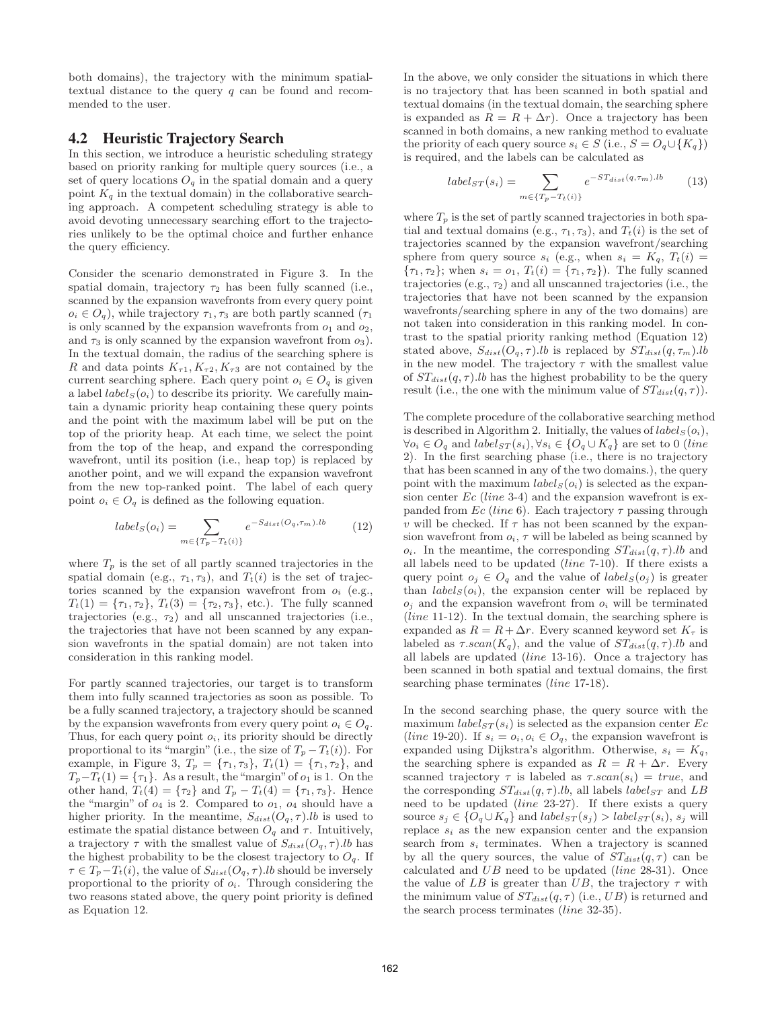both domains), the trajectory with the minimum spatialtextual distance to the query  $q$  can be found and recommended to the user.

### 4.2 Heuristic Trajectory Search

In this section, we introduce a heuristic scheduling strategy based on priority ranking for multiple query sources (i.e., a set of query locations  $O_q$  in the spatial domain and a query point  $K_q$  in the textual domain) in the collaborative searching approach. A competent scheduling strategy is able to avoid devoting unnecessary searching effort to the trajectories unlikely to be the optimal choice and further enhance the query efficiency.

Consider the scenario demonstrated in Figure 3. In the spatial domain, trajectory  $\tau_2$  has been fully scanned (i.e., scanned by the expansion wavefronts from every query point  $o_i \in O_q$ ), while trajectory  $\tau_1, \tau_3$  are both partly scanned  $(\tau_1)$ is only scanned by the expansion wavefronts from  $o_1$  and  $o_2$ , and  $\tau_3$  is only scanned by the expansion wavefront from  $o_3$ ). In the textual domain, the radius of the searching sphere is R and data points  $K_{\tau 1}, K_{\tau 2}, K_{\tau 3}$  are not contained by the current searching sphere. Each query point  $o_i \in O_q$  is given a label  $labels(o_i)$  to describe its priority. We carefully maintain a dynamic priority heap containing these query points and the point with the maximum label will be put on the top of the priority heap. At each time, we select the point from the top of the heap, and expand the corresponding wavefront, until its position (i.e., heap top) is replaced by another point, and we will expand the expansion wavefront from the new top-ranked point. The label of each query point  $o_i \in O_q$  is defined as the following equation.

$$
label_S(o_i) = \sum_{m \in \{T_p - T_t(i)\}} e^{-S_{dist}(O_q, \tau_m).lb}
$$
 (12)

where  $T_p$  is the set of all partly scanned trajectories in the spatial domain (e.g.,  $\tau_1, \tau_3$ ), and  $T_t(i)$  is the set of trajectories scanned by the expansion wavefront from  $o_i$  (e.g.,  $T_t(1) = {\tau_1, \tau_2}, T_t(3) = {\tau_2, \tau_3}, \text{ etc.}.$  The fully scanned trajectories (e.g.,  $\tau_2$ ) and all unscanned trajectories (i.e., the trajectories that have not been scanned by any expansion wavefronts in the spatial domain) are not taken into consideration in this ranking model.

For partly scanned trajectories, our target is to transform them into fully scanned trajectories as soon as possible. To be a fully scanned trajectory, a trajectory should be scanned by the expansion wavefronts from every query point  $o_i \in O_q$ . Thus, for each query point  $o_i$ , its priority should be directly proportional to its "margin" (i.e., the size of  $T_p - T_t(i)$ ). For example, in Figure 3,  $T_p = {\tau_1, \tau_3}$ ,  $T_t(1) = {\tau_1, \tau_2}$ , and  $T_p-T_t(1) = {\tau_1}.$  As a result, the "margin" of  $o_1$  is 1. On the other hand,  $T_t(4) = \{\tau_2\}$  and  $T_p - T_t(4) = \{\tau_1, \tau_3\}$ . Hence the "margin" of  $o_4$  is 2. Compared to  $o_1$ ,  $o_4$  should have a higher priority. In the meantime,  $S_{dist}(O_q, \tau)$ .lb is used to estimate the spatial distance between  $O_q$  and  $\tau$ . Intuitively, a trajectory  $\tau$  with the smallest value of  $S_{dist}(O_q, \tau)$ .lb has the highest probability to be the closest trajectory to  $O_q$ . If  $\tau \in T_p - T_t(i)$ , the value of  $S_{dist}(O_q, \tau)$ .lb should be inversely proportional to the priority of  $o_i$ . Through considering the two reasons stated above, the query point priority is defined as Equation 12.

In the above, we only consider the situations in which there is no trajectory that has been scanned in both spatial and textual domains (in the textual domain, the searching sphere is expanded as  $R = R + \Delta r$ . Once a trajectory has been scanned in both domains, a new ranking method to evaluate the priority of each query source  $s_i \in S$  (i.e.,  $S = O_q \cup \{K_q\}$ ) is required, and the labels can be calculated as

$$
label_{ST}(s_i) = \sum_{m \in \{T_p - T_t(i)\}} e^{-ST_{dist}(q, \tau_m).lb}
$$
 (13)

where  $T_p$  is the set of partly scanned trajectories in both spatial and textual domains (e.g.,  $\tau_1, \tau_3$ ), and  $T_t(i)$  is the set of trajectories scanned by the expansion wavefront/searching sphere from query source  $s_i$  (e.g., when  $s_i = K_q$ ,  $T_t(i) =$  ${\tau_1, \tau_2}$ ; when  $s_i = o_1, T_t(i) = {\tau_1, \tau_2}$ . The fully scanned trajectories (e.g.,  $\tau_2$ ) and all unscanned trajectories (i.e., the trajectories that have not been scanned by the expansion wavefronts/searching sphere in any of the two domains) are not taken into consideration in this ranking model. In contrast to the spatial priority ranking method (Equation 12) stated above,  $S_{dist}(O_q, \tau)$ .lb is replaced by  $ST_{dist}(q, \tau_m)$ .lb in the new model. The trajectory  $\tau$  with the smallest value of  $ST_{dist}(q, \tau)$ .lb has the highest probability to be the query result (i.e., the one with the minimum value of  $ST_{dist}(q, \tau)$ ).

The complete procedure of the collaborative searching method is described in Algorithm 2. Initially, the values of  $labels(o_i)$ ,  $\forall o_i \in O_q$  and  $label_{ST}(s_i), \forall s_i \in \{O_q \cup K_q\}$  are set to 0 (line 2). In the first searching phase (i.e., there is no trajectory that has been scanned in any of the two domains.), the query point with the maximum  $label_S(o_i)$  is selected as the expansion center  $Ec$  (line 3-4) and the expansion wavefront is expanded from  $Ec$  (line 6). Each trajectory  $\tau$  passing through v will be checked. If  $\tau$  has not been scanned by the expansion wavefront from  $o_i$ ,  $\tau$  will be labeled as being scanned by  $o_i$ . In the meantime, the corresponding  $ST_{dist}(q, \tau)$ .lb and all labels need to be updated (line 7-10). If there exists a query point  $o_j \in O_q$  and the value of  $labels(o_j)$  is greater than  $labels(o_i)$ , the expansion center will be replaced by  $o_j$  and the expansion wavefront from  $o_i$  will be terminated (line 11-12). In the textual domain, the searching sphere is expanded as  $R = R + \Delta r$ . Every scanned keyword set  $K_{\tau}$  is labeled as  $\tau.\text{scan}(K_q)$ , and the value of  $ST_{dist}(q, \tau)$ .lb and all labels are updated (line 13-16). Once a trajectory has been scanned in both spatial and textual domains, the first searching phase terminates (line 17-18).

In the second searching phase, the query source with the maximum *label*<sub>ST</sub> $(s_i)$  is selected as the expansion center Eq. (*line* 19-20). If  $s_i = o_i, o_i \in O_q$ , the expansion wavefront is expanded using Dijkstra's algorithm. Otherwise,  $s_i = K_q$ , the searching sphere is expanded as  $R = R + \Delta r$ . Every scanned trajectory  $\tau$  is labeled as  $\tau$ .scan $(s_i) = true$ , and the corresponding  $ST_{dist}(q, \tau)$ .lb, all labels *labels<sub>T</sub>* and *LB* need to be updated (line 23-27). If there exists a query source  $s_j \in \{O_q \cup K_q\}$  and  $labels_T(s_j) > labels_T(s_i), s_j$  will replace  $s_i$  as the new expansion center and the expansion search from  $s_i$  terminates. When a trajectory is scanned by all the query sources, the value of  $ST_{dist}(q, \tau)$  can be calculated and UB need to be updated (line 28-31). Once the value of LB is greater than UB, the trajectory  $\tau$  with the minimum value of  $ST_{dist}(q, \tau)$  (i.e., UB) is returned and the search process terminates (line 32-35).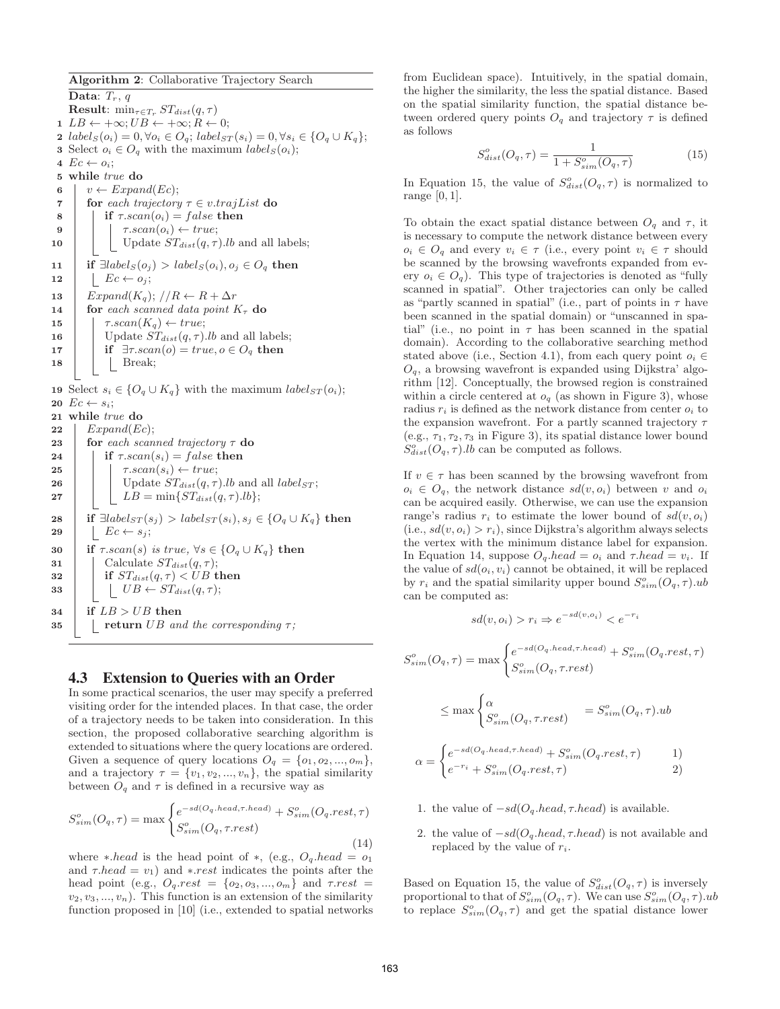**Algorithm 2**: Collaborative Trajectory Search Data:  $T_r$ , q **Result**:  $\min_{\tau \in T_r} ST_{dist}(q, \tau)$  $LB \leftarrow +\infty; UB \leftarrow +\infty; R \leftarrow 0;$   $label_S(O_i) = 0, \forall o_i \in O_q$ ;  $label_{ST}(s_i) = 0, \forall s_i \in \{O_q \cup K_q\};$  Select  $o_i \in O_q$  with the maximum  $label_S(o_i);$  $Ec \leftarrow o_i;$  **while** true **do**  $v \leftarrow Expand(Ec);$  **for** each trajectory  $\tau \in v$  trajList **do i if**  $\tau$ *scan* $(o_i) = false$  **then**   $\vert \vert$   $\tau \text{.scan}(o_i) \leftarrow true;$  | Update  $ST_{dist}(q, \tau)$ .lb and all labels; **if**  $\exists$ *label<sub>S</sub>*(*o<sub>j</sub>*) > *label<sub>S</sub>*(*o<sub>i</sub>*), *o<sub>j</sub>*  $\in O_q$  **then**  $12 \mid Ec \leftarrow o_j;$  Expand $(K_q)$ ;  $//R \leftarrow R + \Delta r$  **for** each scanned data point  $K_{\tau}$  **do**   $\tau$ *scan*(K<sub>q</sub>)  $\leftarrow$  true; | Update  $ST_{dist}(q, \tau)$ .lb and all labels; **if**  $\exists \tau \cdot scan(o) = true, o \in O_q$  **then**  | | Break; Select  $s_i \in \{O_q \cup K_q\}$  with the maximum  $label_{ST}(o_i);$  $Ec \leftarrow s_i;$  **while** true **do** Expand(Ec); **for** each scanned trajectory τ **do if**  $\tau$ *scan*(s<sub>i</sub>) = false **then**   $\vert \vert$   $\tau$ *scan* $(s_i) \leftarrow true;$  | Update  $ST_{dist}(q, \tau)$ .lb and all labels $_T$ ; |  $LB = \min\{ST_{dist}(q, \tau).lb\};$  **if**  $\exists$ *labels*<sub>T</sub> $(s_j)$  > *labels*<sub>T</sub> $(s_i)$ ,  $s_j \in \{O_q \cup K_q\}$  **then**   $\vert$   $Ec \leftarrow s_j;$  **if**  $\tau$ *.scan(s)* is true,  $\forall s \in \{O_q \cup K_q\}$  **then** Calculate  $ST_{dist}(q, \tau)$ ;

 **if**  $ST_{dist}(q, \tau) < UB$  **then**   $\vert \vert$   $UB \leftarrow ST_{dist}(q, \tau);$  **if** LB > UB **then return**  $UB$  and the corresponding  $\tau$ ;

#### 4.3 Extension to Queries with an Order

In some practical scenarios, the user may specify a preferred visiting order for the intended places. In that case, the order of a trajectory needs to be taken into consideration. In this section, the proposed collaborative searching algorithm is extended to situations where the query locations are ordered. Given a sequence of query locations  $O_q = \{o_1, o_2, ..., o_m\},\$ and a trajectory  $\tau = \{v_1, v_2, ..., v_n\}$ , the spatial similarity between  $O_q$  and  $\tau$  is defined in a recursive way as

$$
S_{sim}^{o}(O_q, \tau) = \max \begin{cases} e^{-sd(O_q \cdot head, \tau \cdot head)} + S_{sim}^{o}(O_q \cdot rest, \tau) \\ S_{sim}^{o}(O_q, \tau \cdot rest) \end{cases}
$$
(14)

where \*.head is the head point of \*, (e.g.,  $O_q$ .head =  $o_1$ ) and  $\tau$ .head =  $v_1$ ) and \*.rest indicates the points after the head point (e.g.,  $O_q.rest = \{o_2, o_3, ..., o_m\}$  and  $\tau.rest =$  $v_2, v_3, \ldots, v_n$ ). This function is an extension of the similarity function proposed in [10] (i.e., extended to spatial networks from Euclidean space). Intuitively, in the spatial domain, the higher the similarity, the less the spatial distance. Based on the spatial similarity function, the spatial distance between ordered query points  $O_q$  and trajectory  $\tau$  is defined as follows

$$
S_{dist}^{o}(O_q, \tau) = \frac{1}{1 + S_{sim}^{o}(O_q, \tau)}
$$
(15)

In Equation 15, the value of  $S_{dist}^o(O_q, \tau)$  is normalized to range [0, 1].

To obtain the exact spatial distance between  $O_q$  and  $\tau$ , it is necessary to compute the network distance between every  $o_i \in O_q$  and every  $v_i \in \tau$  (i.e., every point  $v_i \in \tau$  should be scanned by the browsing wavefronts expanded from every  $o_i \in O_q$ ). This type of trajectories is denoted as "fully scanned in spatial". Other trajectories can only be called as "partly scanned in spatial" (i.e., part of points in  $\tau$  have been scanned in the spatial domain) or "unscanned in spatial" (i.e., no point in  $\tau$  has been scanned in the spatial domain). According to the collaborative searching method stated above (i.e., Section 4.1), from each query point  $o_i \in$  $O_q$ , a browsing wavefront is expanded using Dijkstra' algorithm [12]. Conceptually, the browsed region is constrained within a circle centered at  $o_q$  (as shown in Figure 3), whose radius  $r_i$  is defined as the network distance from center  $o_i$  to the expansion wavefront. For a partly scanned trajectory  $\tau$ (e.g.,  $\tau_1, \tau_2, \tau_3$  in Figure 3), its spatial distance lower bound  $S_{dist}^{\circ}(O_q, \tau)$ .lb can be computed as follows.

If  $v \in \tau$  has been scanned by the browsing wavefront from  $o_i \in O_q$ , the network distance  $sd(v, o_i)$  between v and  $o_i$ can be acquired easily. Otherwise, we can use the expansion range's radius  $r_i$  to estimate the lower bound of  $sd(v, o_i)$  $(i.e., sd(v, o_i) > r_i)$ , since Dijkstra's algorithm always selects the vertex with the minimum distance label for expansion. In Equation 14, suppose  $O_q$  head =  $o_i$  and  $\tau$  head =  $v_i$ . If the value of  $sd(o_i, v_i)$  cannot be obtained, it will be replaced by  $r_i$  and the spatial similarity upper bound  $S_{sim}^o(O_q, \tau)$ .ub can be computed as:

$$
sd(v, o_i) > r_i \Rightarrow e^{-sd(v, o_i)} < e^{-r_i}
$$

$$
S_{sim}^{o}(O_q, \tau) = \max \begin{cases} e^{-sd(O_q \cdot head, \tau \cdot head)} + S_{sim}^{o}(O_q \cdot rest, \tau) \\ S_{sim}^{o}(O_q, \tau \cdot rest) \end{cases}
$$
  

$$
\leq \max \begin{cases} \alpha \\ S_{sim}^{o}(O_q, \tau \cdot rest) \end{cases} = S_{sim}^{o}(O_q, \tau) . ub
$$

$$
\alpha = \begin{cases} e^{-sd(O_q, head, \tau, head)} + S_{sim}^o(O_q, rest, \tau) & 1) \\ e^{-r_i} + S_{sim}^o(O_q, rest, \tau) & 2) \end{cases}
$$

- 1. the value of  $-sd(O_q, head, \tau, head)$  is available.
- 2. the value of  $-sd(O_q, head, \tau, head)$  is not available and replaced by the value of  $r_i$ .

Based on Equation 15, the value of  $S^o_{dist}(O_q, \tau)$  is inversely proportional to that of  $S_{sim}^o(O_q, \tau)$ . We can use  $S_{sim}^o(O_q, \tau)$  ub to replace  $S_{sim}^o(O_q, \tau)$  and get the spatial distance lower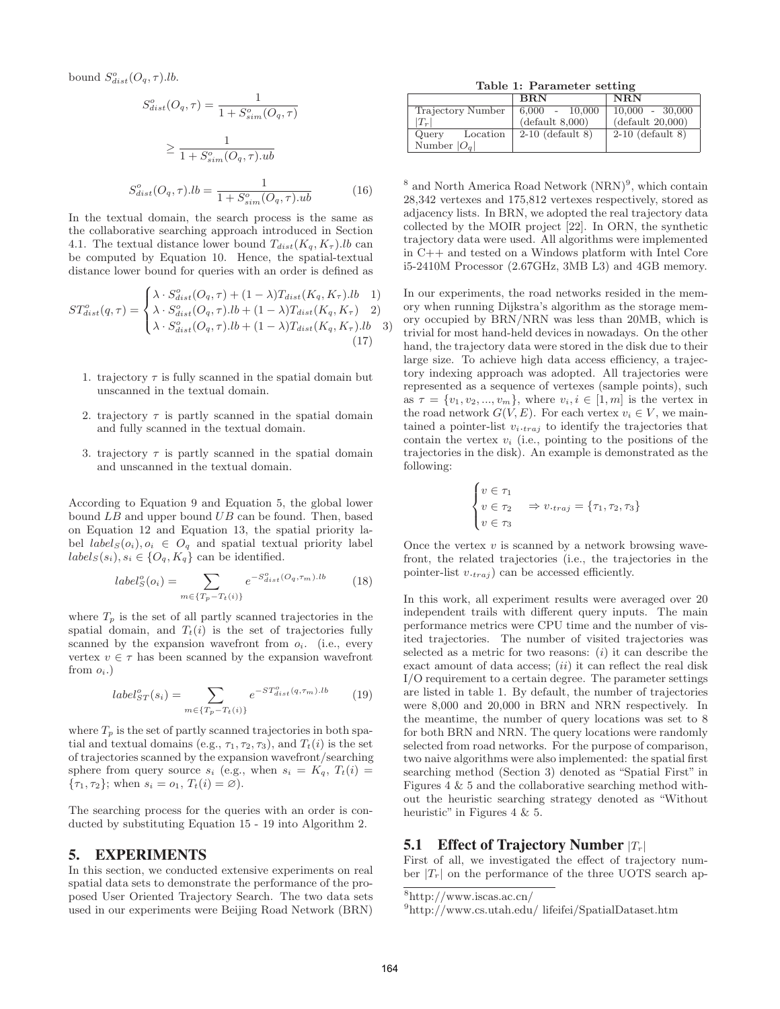bound  $S^o_{dist}(O_q, \tau)$ .lb.

$$
S_{dist}^{o}(O_{q}, \tau) = \frac{1}{1 + S_{sim}^{o}(O_{q}, \tau)}
$$

$$
\geq \frac{1}{1 + S_{sim}^{o}(O_{q}, \tau).ub}
$$

$$
S_{dist}^{o}(O_{q}, \tau).lb = \frac{1}{1 + S_{sim}^{o}(O_{q}, \tau).ub}
$$
(16)

In the textual domain, the search process is the same as the collaborative searching approach introduced in Section 4.1. The textual distance lower bound  $T_{dist}(K_q, K_\tau)$ .lb can be computed by Equation 10. Hence, the spatial-textual distance lower bound for queries with an order is defined as

$$
ST_{dist}^{o}(q,\tau) = \begin{cases} \lambda \cdot S_{dist}^{o}(O_q, \tau) + (1 - \lambda)T_{dist}(K_q, K_\tau).lb & 1) \\ \lambda \cdot S_{dist}^{o}(O_q, \tau).lb + (1 - \lambda)T_{dist}(K_q, K_\tau) & 2) \\ \lambda \cdot S_{dist}^{o}(O_q, \tau).lb + (1 - \lambda)T_{dist}(K_q, K_\tau).lb & 3) \end{cases}
$$
(17)

- 1. trajectory  $\tau$  is fully scanned in the spatial domain but unscanned in the textual domain.
- 2. trajectory  $\tau$  is partly scanned in the spatial domain and fully scanned in the textual domain.
- 3. trajectory  $\tau$  is partly scanned in the spatial domain and unscanned in the textual domain.

According to Equation 9 and Equation 5, the global lower bound  $LB$  and upper bound  $UB$  can be found. Then, based on Equation 12 and Equation 13, the spatial priority label  $label_S(o_i), o_i \in O_q$  and spatial textual priority label  $label_S(s_i), s_i \in \{O_q, K_q\}$  can be identified.

$$
label_{S}^{o}(o_{i}) = \sum_{m \in \{T_{p} - T_{t}(i)\}} e^{-S_{dist}^{o}(O_{q}, \tau_{m}).lb}
$$
 (18)

where  $T_p$  is the set of all partly scanned trajectories in the spatial domain, and  $T_t(i)$  is the set of trajectories fully scanned by the expansion wavefront from  $o_i$ . (i.e., every vertex  $v \in \tau$  has been scanned by the expansion wavefront from  $o_i$ .)

$$
label_{ST}^{o}(s_i) = \sum_{m \in \{T_p - T_t(i)\}} e^{-ST_{dist}^{o}(q, \tau_m).lb}
$$
 (19)

where  $T_p$  is the set of partly scanned trajectories in both spatial and textual domains (e.g.,  $\tau_1, \tau_2, \tau_3$ ), and  $T_t(i)$  is the set of trajectories scanned by the expansion wavefront/searching sphere from query source  $s_i$  (e.g., when  $s_i = K_q$ ,  $T_t(i) =$  ${\tau_1, \tau_2}$ ; when  $s_i = o_1, T_t(i) = \emptyset$ .

The searching process for the queries with an order is conducted by substituting Equation 15 - 19 into Algorithm 2.

### 5. EXPERIMENTS

In this section, we conducted extensive experiments on real spatial data sets to demonstrate the performance of the proposed User Oriented Trajectory Search. The two data sets used in our experiments were Beijing Road Network (BRN)

**Table 1: Parameter setting**

|                   | <b>BRN</b>                | <b>NRN</b>         |
|-------------------|---------------------------|--------------------|
| Trajectory Number | $6,000 - 10,000$          | $10,000 - 30,000$  |
| $T_r$             | $(\text{default } 8,000)$ | (default 20,000)   |
| Location<br>Query | $2-10$ (default 8)        | $2-10$ (default 8) |
| Number $ O_q $    |                           |                    |

 $8$  and North America Road Network  $(NRN)^9$ , which contain 28,342 vertexes and 175,812 vertexes respectively, stored as adjacency lists. In BRN, we adopted the real trajectory data collected by the MOIR project [22]. In ORN, the synthetic trajectory data were used. All algorithms were implemented in C++ and tested on a Windows platform with Intel Core i5-2410M Processor (2.67GHz, 3MB L3) and 4GB memory.

In our experiments, the road networks resided in the memory when running Dijkstra's algorithm as the storage memory occupied by BRN/NRN was less than 20MB, which is trivial for most hand-held devices in nowadays. On the other hand, the trajectory data were stored in the disk due to their large size. To achieve high data access efficiency, a trajectory indexing approach was adopted. All trajectories were represented as a sequence of vertexes (sample points), such as  $\tau = \{v_1, v_2, ..., v_m\}$ , where  $v_i, i \in [1, m]$  is the vertex in the road network  $G(V, E)$ . For each vertex  $v_i \in V$ , we maintained a pointer-list  $v_{i\cdot traj}$  to identify the trajectories that contain the vertex  $v_i$  (i.e., pointing to the positions of the trajectories in the disk). An example is demonstrated as the following:

$$
\begin{cases}\nv \in \tau_1 \\
v \in \tau_2 \quad \Rightarrow v_{\cdot traj} = {\tau_1, \tau_2, \tau_3} \\
v \in \tau_3\n\end{cases}
$$

Once the vertex  $v$  is scanned by a network browsing wavefront, the related trajectories (i.e., the trajectories in the pointer-list  $v.t_{\text{ra}j}$ ) can be accessed efficiently.

In this work, all experiment results were averaged over 20 independent trails with different query inputs. The main performance metrics were CPU time and the number of visited trajectories. The number of visited trajectories was selected as a metric for two reasons:  $(i)$  it can describe the exact amount of data access;  $(ii)$  it can reflect the real disk I/O requirement to a certain degree. The parameter settings are listed in table 1. By default, the number of trajectories were 8,000 and 20,000 in BRN and NRN respectively. In the meantime, the number of query locations was set to 8 for both BRN and NRN. The query locations were randomly selected from road networks. For the purpose of comparison, two naive algorithms were also implemented: the spatial first searching method (Section 3) denoted as "Spatial First" in Figures 4 & 5 and the collaborative searching method without the heuristic searching strategy denoted as "Without heuristic" in Figures 4 & 5.

# **5.1 Effect of Trajectory Number**  $|T_r|$

First of all, we investigated the effect of trajectory number  $|T_r|$  on the performance of the three UOTS search ap-

<sup>8</sup>http://www.iscas.ac.cn/

<sup>9</sup>http://www.cs.utah.edu/ lifeifei/SpatialDataset.htm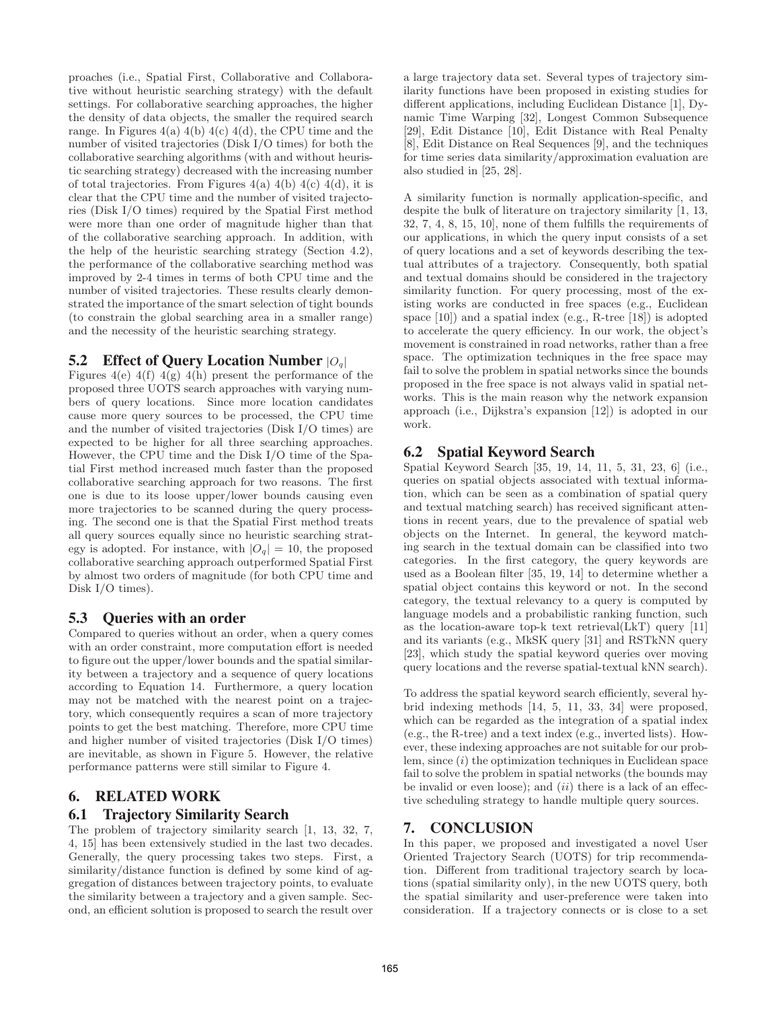proaches (i.e., Spatial First, Collaborative and Collaborative without heuristic searching strategy) with the default settings. For collaborative searching approaches, the higher the density of data objects, the smaller the required search range. In Figures  $4(a)$   $4(b)$   $4(c)$   $4(d)$ , the CPU time and the number of visited trajectories (Disk I/O times) for both the collaborative searching algorithms (with and without heuristic searching strategy) decreased with the increasing number of total trajectories. From Figures  $4(a)$   $4(b)$   $4(c)$   $4(d)$ , it is clear that the CPU time and the number of visited trajectories (Disk I/O times) required by the Spatial First method were more than one order of magnitude higher than that of the collaborative searching approach. In addition, with the help of the heuristic searching strategy (Section 4.2), the performance of the collaborative searching method was improved by 2-4 times in terms of both CPU time and the number of visited trajectories. These results clearly demonstrated the importance of the smart selection of tight bounds (to constrain the global searching area in a smaller range) and the necessity of the heuristic searching strategy.

# 5.2 Effect of Query Location Number  $|O_q|$

Figures 4(e) 4(f) 4(g) 4(h) present the performance of the proposed three UOTS search approaches with varying numbers of query locations. Since more location candidates cause more query sources to be processed, the CPU time and the number of visited trajectories (Disk I/O times) are expected to be higher for all three searching approaches. However, the CPU time and the Disk I/O time of the Spatial First method increased much faster than the proposed collaborative searching approach for two reasons. The first one is due to its loose upper/lower bounds causing even more trajectories to be scanned during the query processing. The second one is that the Spatial First method treats all query sources equally since no heuristic searching strategy is adopted. For instance, with  $|O_q| = 10$ , the proposed collaborative searching approach outperformed Spatial First by almost two orders of magnitude (for both CPU time and Disk I/O times).

# 5.3 Queries with an order

Compared to queries without an order, when a query comes with an order constraint, more computation effort is needed to figure out the upper/lower bounds and the spatial similarity between a trajectory and a sequence of query locations according to Equation 14. Furthermore, a query location may not be matched with the nearest point on a trajectory, which consequently requires a scan of more trajectory points to get the best matching. Therefore, more CPU time and higher number of visited trajectories (Disk I/O times) are inevitable, as shown in Figure 5. However, the relative performance patterns were still similar to Figure 4.

# 6. RELATED WORK

# 6.1 Trajectory Similarity Search

The problem of trajectory similarity search [1, 13, 32, 7, 4, 15] has been extensively studied in the last two decades. Generally, the query processing takes two steps. First, a similarity/distance function is defined by some kind of aggregation of distances between trajectory points, to evaluate the similarity between a trajectory and a given sample. Second, an efficient solution is proposed to search the result over

a large trajectory data set. Several types of trajectory similarity functions have been proposed in existing studies for different applications, including Euclidean Distance [1], Dynamic Time Warping [32], Longest Common Subsequence [29], Edit Distance [10], Edit Distance with Real Penalty [8], Edit Distance on Real Sequences [9], and the techniques for time series data similarity/approximation evaluation are also studied in [25, 28].

A similarity function is normally application-specific, and despite the bulk of literature on trajectory similarity [1, 13, 32, 7, 4, 8, 15, 10], none of them fulfills the requirements of our applications, in which the query input consists of a set of query locations and a set of keywords describing the textual attributes of a trajectory. Consequently, both spatial and textual domains should be considered in the trajectory similarity function. For query processing, most of the existing works are conducted in free spaces (e.g., Euclidean space [10]) and a spatial index (e.g., R-tree [18]) is adopted to accelerate the query efficiency. In our work, the object's movement is constrained in road networks, rather than a free space. The optimization techniques in the free space may fail to solve the problem in spatial networks since the bounds proposed in the free space is not always valid in spatial networks. This is the main reason why the network expansion approach (i.e., Dijkstra's expansion [12]) is adopted in our work.

# 6.2 Spatial Keyword Search

Spatial Keyword Search [35, 19, 14, 11, 5, 31, 23, 6] (i.e., queries on spatial objects associated with textual information, which can be seen as a combination of spatial query and textual matching search) has received significant attentions in recent years, due to the prevalence of spatial web objects on the Internet. In general, the keyword matching search in the textual domain can be classified into two categories. In the first category, the query keywords are used as a Boolean filter [35, 19, 14] to determine whether a spatial object contains this keyword or not. In the second category, the textual relevancy to a query is computed by language models and a probabilistic ranking function, such as the location-aware top-k text retrieval(LkT) query [11] and its variants (e.g., MkSK query [31] and RSTkNN query [23], which study the spatial keyword queries over moving query locations and the reverse spatial-textual kNN search).

To address the spatial keyword search efficiently, several hybrid indexing methods [14, 5, 11, 33, 34] were proposed, which can be regarded as the integration of a spatial index (e.g., the R-tree) and a text index (e.g., inverted lists). However, these indexing approaches are not suitable for our problem, since  $(i)$  the optimization techniques in Euclidean space fail to solve the problem in spatial networks (the bounds may be invalid or even loose); and  $(ii)$  there is a lack of an effective scheduling strategy to handle multiple query sources.

# 7. CONCLUSION

In this paper, we proposed and investigated a novel User Oriented Trajectory Search (UOTS) for trip recommendation. Different from traditional trajectory search by locations (spatial similarity only), in the new UOTS query, both the spatial similarity and user-preference were taken into consideration. If a trajectory connects or is close to a set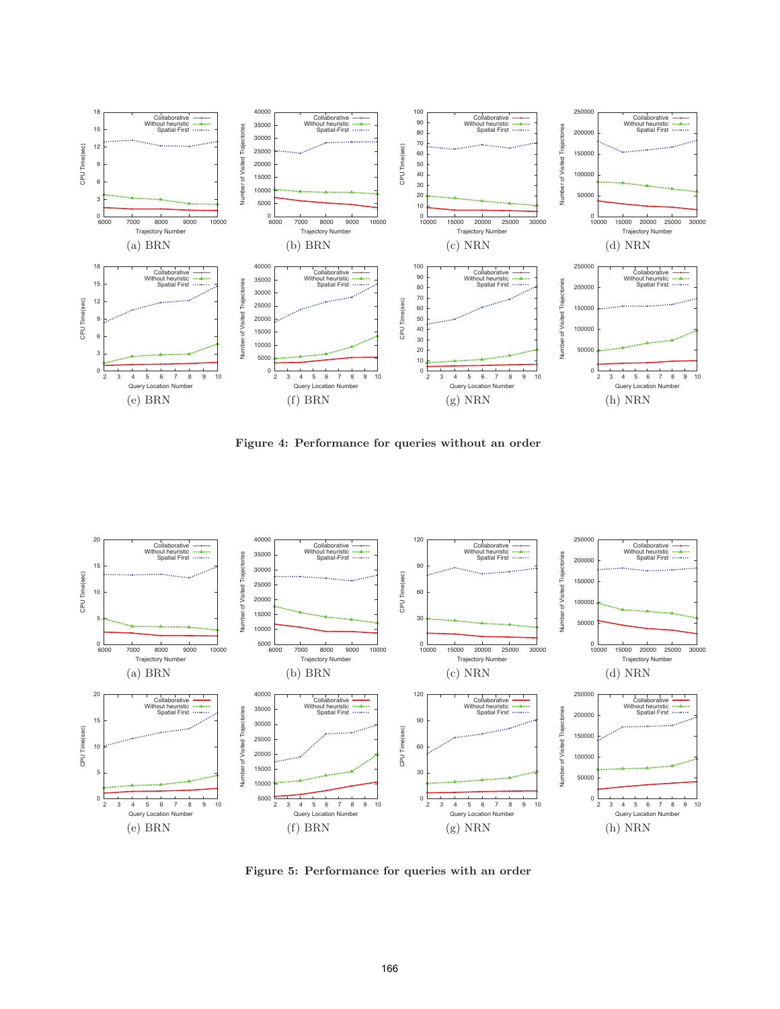

**Figure 4: Performance for queries without an order**



**Figure 5: Performance for queries with an order**